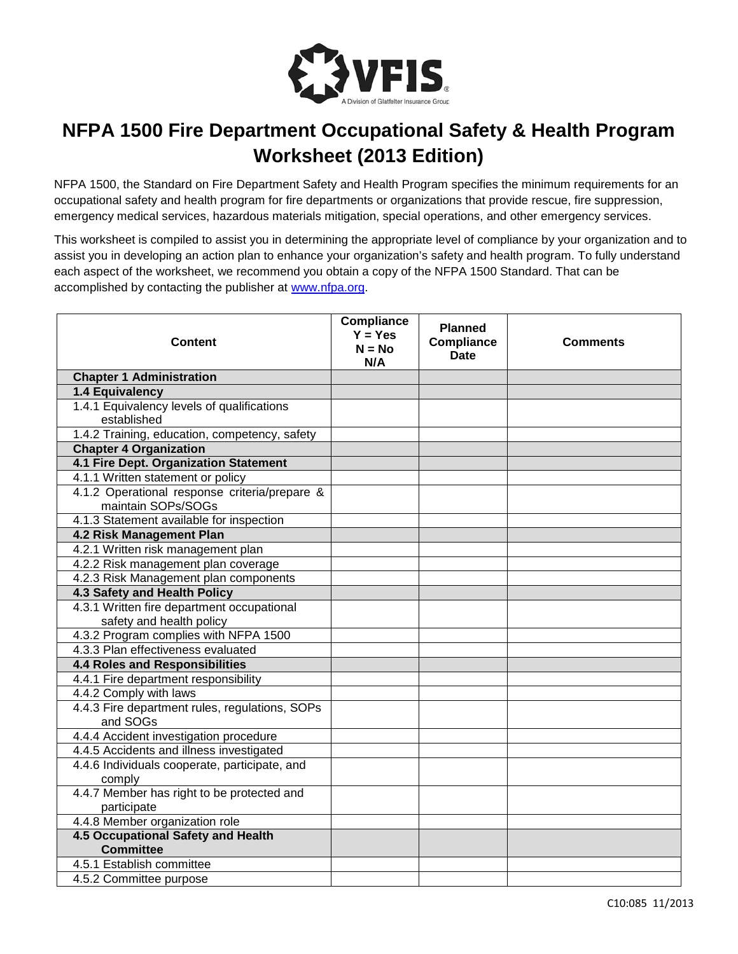

## **NFPA 1500 Fire Department Occupational Safety & Health Program Worksheet (2013 Edition)**

NFPA 1500, the Standard on Fire Department Safety and Health Program specifies the minimum requirements for an occupational safety and health program for fire departments or organizations that provide rescue, fire suppression, emergency medical services, hazardous materials mitigation, special operations, and other emergency services.

This worksheet is compiled to assist you in determining the appropriate level of compliance by your organization and to assist you in developing an action plan to enhance your organization's safety and health program. To fully understand each aspect of the worksheet, we recommend you obtain a copy of the NFPA 1500 Standard. That can be accomplished by contacting the publisher at [www.nfpa.org.](http://www.nfpa.org/)

| <b>Content</b>                                                    | Compliance<br>$Y = Yes$<br>$N = No$<br>N/A | <b>Planned</b><br><b>Compliance</b><br>Date | <b>Comments</b> |
|-------------------------------------------------------------------|--------------------------------------------|---------------------------------------------|-----------------|
| <b>Chapter 1 Administration</b>                                   |                                            |                                             |                 |
| 1.4 Equivalency                                                   |                                            |                                             |                 |
| 1.4.1 Equivalency levels of qualifications                        |                                            |                                             |                 |
| established                                                       |                                            |                                             |                 |
| 1.4.2 Training, education, competency, safety                     |                                            |                                             |                 |
| <b>Chapter 4 Organization</b>                                     |                                            |                                             |                 |
| 4.1 Fire Dept. Organization Statement                             |                                            |                                             |                 |
| 4.1.1 Written statement or policy                                 |                                            |                                             |                 |
| 4.1.2 Operational response criteria/prepare &                     |                                            |                                             |                 |
| maintain SOPs/SOGs                                                |                                            |                                             |                 |
| 4.1.3 Statement available for inspection                          |                                            |                                             |                 |
| 4.2 Risk Management Plan                                          |                                            |                                             |                 |
| 4.2.1 Written risk management plan                                |                                            |                                             |                 |
| 4.2.2 Risk management plan coverage                               |                                            |                                             |                 |
| 4.2.3 Risk Management plan components                             |                                            |                                             |                 |
| 4.3 Safety and Health Policy                                      |                                            |                                             |                 |
| 4.3.1 Written fire department occupational                        |                                            |                                             |                 |
| safety and health policy<br>4.3.2 Program complies with NFPA 1500 |                                            |                                             |                 |
| 4.3.3 Plan effectiveness evaluated                                |                                            |                                             |                 |
| <b>4.4 Roles and Responsibilities</b>                             |                                            |                                             |                 |
| 4.4.1 Fire department responsibility                              |                                            |                                             |                 |
| 4.4.2 Comply with laws                                            |                                            |                                             |                 |
| 4.4.3 Fire department rules, regulations, SOPs                    |                                            |                                             |                 |
| and SOGs                                                          |                                            |                                             |                 |
| 4.4.4 Accident investigation procedure                            |                                            |                                             |                 |
| 4.4.5 Accidents and illness investigated                          |                                            |                                             |                 |
| 4.4.6 Individuals cooperate, participate, and                     |                                            |                                             |                 |
| comply                                                            |                                            |                                             |                 |
| 4.4.7 Member has right to be protected and                        |                                            |                                             |                 |
| participate                                                       |                                            |                                             |                 |
| 4.4.8 Member organization role                                    |                                            |                                             |                 |
| <b>4.5 Occupational Safety and Health</b>                         |                                            |                                             |                 |
| <b>Committee</b>                                                  |                                            |                                             |                 |
| 4.5.1 Establish committee                                         |                                            |                                             |                 |
| 4.5.2 Committee purpose                                           |                                            |                                             |                 |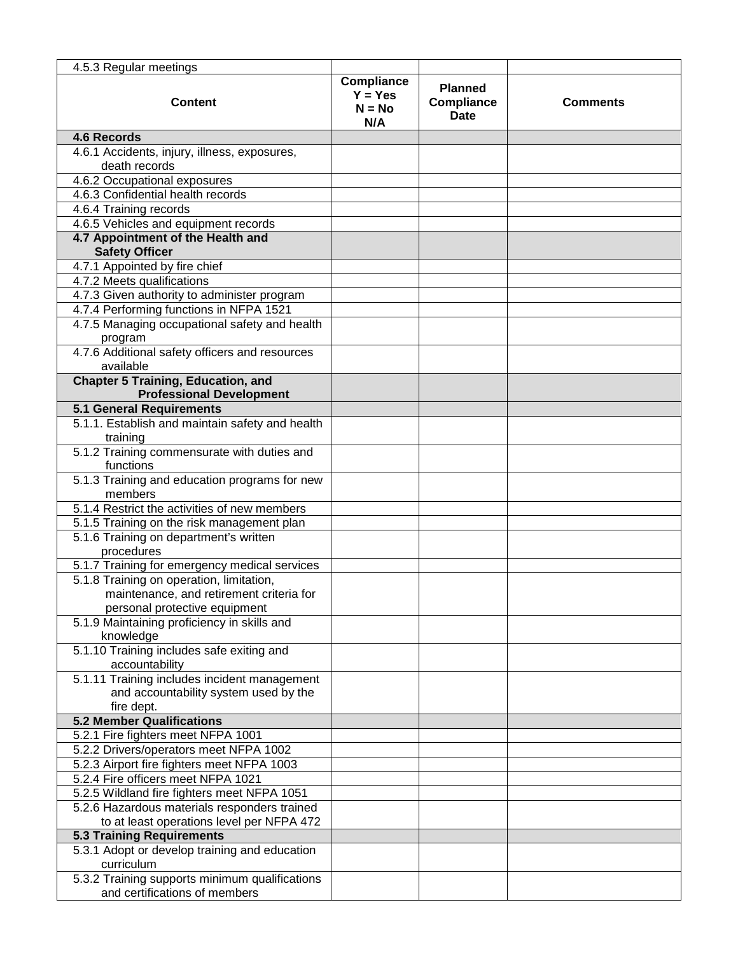| 4.5.3 Regular meetings                                        |                                            |                                      |                 |
|---------------------------------------------------------------|--------------------------------------------|--------------------------------------|-----------------|
| <b>Content</b>                                                | Compliance<br>$Y = Yes$<br>$N = No$<br>N/A | <b>Planned</b><br>Compliance<br>Date | <b>Comments</b> |
| <b>4.6 Records</b>                                            |                                            |                                      |                 |
| 4.6.1 Accidents, injury, illness, exposures,<br>death records |                                            |                                      |                 |
| 4.6.2 Occupational exposures                                  |                                            |                                      |                 |
| 4.6.3 Confidential health records                             |                                            |                                      |                 |
| 4.6.4 Training records                                        |                                            |                                      |                 |
| 4.6.5 Vehicles and equipment records                          |                                            |                                      |                 |
| 4.7 Appointment of the Health and<br><b>Safety Officer</b>    |                                            |                                      |                 |
| 4.7.1 Appointed by fire chief                                 |                                            |                                      |                 |
| 4.7.2 Meets qualifications                                    |                                            |                                      |                 |
| 4.7.3 Given authority to administer program                   |                                            |                                      |                 |
| 4.7.4 Performing functions in NFPA 1521                       |                                            |                                      |                 |
| 4.7.5 Managing occupational safety and health                 |                                            |                                      |                 |
| program<br>4.7.6 Additional safety officers and resources     |                                            |                                      |                 |
| available                                                     |                                            |                                      |                 |
| <b>Chapter 5 Training, Education, and</b>                     |                                            |                                      |                 |
| <b>Professional Development</b>                               |                                            |                                      |                 |
| <b>5.1 General Requirements</b>                               |                                            |                                      |                 |
| 5.1.1. Establish and maintain safety and health<br>training   |                                            |                                      |                 |
| 5.1.2 Training commensurate with duties and<br>functions      |                                            |                                      |                 |
| 5.1.3 Training and education programs for new<br>members      |                                            |                                      |                 |
| 5.1.4 Restrict the activities of new members                  |                                            |                                      |                 |
| 5.1.5 Training on the risk management plan                    |                                            |                                      |                 |
| 5.1.6 Training on department's written<br>procedures          |                                            |                                      |                 |
| 5.1.7 Training for emergency medical services                 |                                            |                                      |                 |
| 5.1.8 Training on operation, limitation,                      |                                            |                                      |                 |
| maintenance, and retirement criteria for                      |                                            |                                      |                 |
| personal protective equipment                                 |                                            |                                      |                 |
| 5.1.9 Maintaining proficiency in skills and                   |                                            |                                      |                 |
| knowledge                                                     |                                            |                                      |                 |
| 5.1.10 Training includes safe exiting and<br>accountability   |                                            |                                      |                 |
| 5.1.11 Training includes incident management                  |                                            |                                      |                 |
| and accountability system used by the<br>fire dept.           |                                            |                                      |                 |
| <b>5.2 Member Qualifications</b>                              |                                            |                                      |                 |
| 5.2.1 Fire fighters meet NFPA 1001                            |                                            |                                      |                 |
| 5.2.2 Drivers/operators meet NFPA 1002                        |                                            |                                      |                 |
| 5.2.3 Airport fire fighters meet NFPA 1003                    |                                            |                                      |                 |
| 5.2.4 Fire officers meet NFPA 1021                            |                                            |                                      |                 |
| 5.2.5 Wildland fire fighters meet NFPA 1051                   |                                            |                                      |                 |
| 5.2.6 Hazardous materials responders trained                  |                                            |                                      |                 |
| to at least operations level per NFPA 472                     |                                            |                                      |                 |
| <b>5.3 Training Requirements</b>                              |                                            |                                      |                 |
| 5.3.1 Adopt or develop training and education<br>curriculum   |                                            |                                      |                 |
| 5.3.2 Training supports minimum qualifications                |                                            |                                      |                 |
| and certifications of members                                 |                                            |                                      |                 |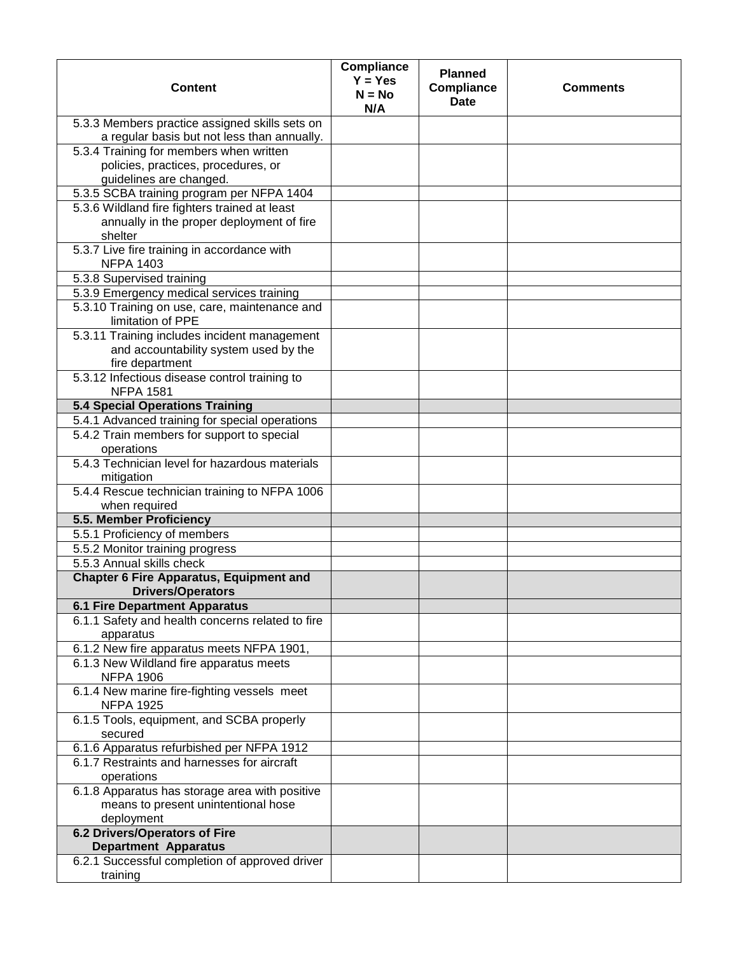| <b>Content</b>                                                             | <b>Compliance</b><br>$Y = Yes$<br>$N = No$<br>N/A | <b>Planned</b><br><b>Compliance</b><br><b>Date</b> | <b>Comments</b> |
|----------------------------------------------------------------------------|---------------------------------------------------|----------------------------------------------------|-----------------|
| 5.3.3 Members practice assigned skills sets on                             |                                                   |                                                    |                 |
| a regular basis but not less than annually.                                |                                                   |                                                    |                 |
| 5.3.4 Training for members when written                                    |                                                   |                                                    |                 |
| policies, practices, procedures, or                                        |                                                   |                                                    |                 |
| guidelines are changed.                                                    |                                                   |                                                    |                 |
| 5.3.5 SCBA training program per NFPA 1404                                  |                                                   |                                                    |                 |
| 5.3.6 Wildland fire fighters trained at least                              |                                                   |                                                    |                 |
| annually in the proper deployment of fire                                  |                                                   |                                                    |                 |
| shelter<br>5.3.7 Live fire training in accordance with                     |                                                   |                                                    |                 |
| <b>NFPA 1403</b>                                                           |                                                   |                                                    |                 |
| 5.3.8 Supervised training                                                  |                                                   |                                                    |                 |
| 5.3.9 Emergency medical services training                                  |                                                   |                                                    |                 |
| 5.3.10 Training on use, care, maintenance and                              |                                                   |                                                    |                 |
| limitation of PPE                                                          |                                                   |                                                    |                 |
| 5.3.11 Training includes incident management                               |                                                   |                                                    |                 |
| and accountability system used by the                                      |                                                   |                                                    |                 |
| fire department                                                            |                                                   |                                                    |                 |
| 5.3.12 Infectious disease control training to<br><b>NFPA 1581</b>          |                                                   |                                                    |                 |
| <b>5.4 Special Operations Training</b>                                     |                                                   |                                                    |                 |
| 5.4.1 Advanced training for special operations                             |                                                   |                                                    |                 |
| 5.4.2 Train members for support to special<br>operations                   |                                                   |                                                    |                 |
| 5.4.3 Technician level for hazardous materials<br>mitigation               |                                                   |                                                    |                 |
| 5.4.4 Rescue technician training to NFPA 1006<br>when required             |                                                   |                                                    |                 |
| 5.5. Member Proficiency                                                    |                                                   |                                                    |                 |
| 5.5.1 Proficiency of members                                               |                                                   |                                                    |                 |
| 5.5.2 Monitor training progress                                            |                                                   |                                                    |                 |
| 5.5.3 Annual skills check                                                  |                                                   |                                                    |                 |
| <b>Chapter 6 Fire Apparatus, Equipment and</b><br><b>Drivers/Operators</b> |                                                   |                                                    |                 |
| <b>6.1 Fire Department Apparatus</b>                                       |                                                   |                                                    |                 |
| 6.1.1 Safety and health concerns related to fire                           |                                                   |                                                    |                 |
| apparatus                                                                  |                                                   |                                                    |                 |
| 6.1.2 New fire apparatus meets NFPA 1901,                                  |                                                   |                                                    |                 |
| 6.1.3 New Wildland fire apparatus meets                                    |                                                   |                                                    |                 |
| <b>NFPA 1906</b>                                                           |                                                   |                                                    |                 |
| 6.1.4 New marine fire-fighting vessels meet<br><b>NFPA 1925</b>            |                                                   |                                                    |                 |
| 6.1.5 Tools, equipment, and SCBA properly<br>secured                       |                                                   |                                                    |                 |
| 6.1.6 Apparatus refurbished per NFPA 1912                                  |                                                   |                                                    |                 |
| 6.1.7 Restraints and harnesses for aircraft                                |                                                   |                                                    |                 |
| operations<br>6.1.8 Apparatus has storage area with positive               |                                                   |                                                    |                 |
| means to present unintentional hose                                        |                                                   |                                                    |                 |
| deployment                                                                 |                                                   |                                                    |                 |
| <b>6.2 Drivers/Operators of Fire</b>                                       |                                                   |                                                    |                 |
| <b>Department Apparatus</b>                                                |                                                   |                                                    |                 |
| 6.2.1 Successful completion of approved driver                             |                                                   |                                                    |                 |
| training                                                                   |                                                   |                                                    |                 |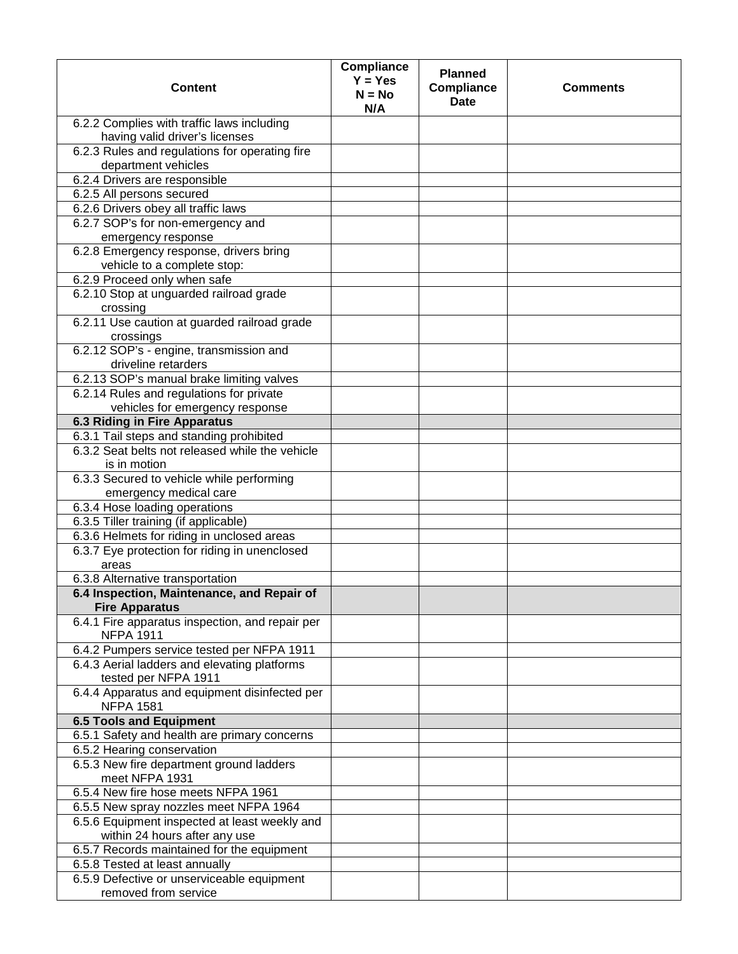| <b>Content</b>                                                               | Compliance<br>$Y = Yes$<br>$N = No$<br>N/A | <b>Planned</b><br><b>Compliance</b><br><b>Date</b> | <b>Comments</b> |
|------------------------------------------------------------------------------|--------------------------------------------|----------------------------------------------------|-----------------|
| 6.2.2 Complies with traffic laws including                                   |                                            |                                                    |                 |
| having valid driver's licenses                                               |                                            |                                                    |                 |
| 6.2.3 Rules and regulations for operating fire<br>department vehicles        |                                            |                                                    |                 |
| 6.2.4 Drivers are responsible                                                |                                            |                                                    |                 |
| 6.2.5 All persons secured                                                    |                                            |                                                    |                 |
| 6.2.6 Drivers obey all traffic laws                                          |                                            |                                                    |                 |
| 6.2.7 SOP's for non-emergency and                                            |                                            |                                                    |                 |
| emergency response                                                           |                                            |                                                    |                 |
| 6.2.8 Emergency response, drivers bring<br>vehicle to a complete stop:       |                                            |                                                    |                 |
| 6.2.9 Proceed only when safe                                                 |                                            |                                                    |                 |
| 6.2.10 Stop at unguarded railroad grade                                      |                                            |                                                    |                 |
| crossing                                                                     |                                            |                                                    |                 |
| 6.2.11 Use caution at guarded railroad grade                                 |                                            |                                                    |                 |
| crossings                                                                    |                                            |                                                    |                 |
| 6.2.12 SOP's - engine, transmission and<br>driveline retarders               |                                            |                                                    |                 |
| 6.2.13 SOP's manual brake limiting valves                                    |                                            |                                                    |                 |
| 6.2.14 Rules and regulations for private                                     |                                            |                                                    |                 |
| vehicles for emergency response                                              |                                            |                                                    |                 |
| <b>6.3 Riding in Fire Apparatus</b>                                          |                                            |                                                    |                 |
| 6.3.1 Tail steps and standing prohibited                                     |                                            |                                                    |                 |
| 6.3.2 Seat belts not released while the vehicle                              |                                            |                                                    |                 |
| is in motion                                                                 |                                            |                                                    |                 |
| 6.3.3 Secured to vehicle while performing                                    |                                            |                                                    |                 |
| emergency medical care                                                       |                                            |                                                    |                 |
| 6.3.4 Hose loading operations                                                |                                            |                                                    |                 |
| 6.3.5 Tiller training (if applicable)                                        |                                            |                                                    |                 |
| 6.3.6 Helmets for riding in unclosed areas                                   |                                            |                                                    |                 |
| 6.3.7 Eye protection for riding in unenclosed<br>areas                       |                                            |                                                    |                 |
| 6.3.8 Alternative transportation                                             |                                            |                                                    |                 |
| 6.4 Inspection, Maintenance, and Repair of                                   |                                            |                                                    |                 |
| <b>Fire Apparatus</b>                                                        |                                            |                                                    |                 |
| 6.4.1 Fire apparatus inspection, and repair per<br><b>NFPA 1911</b>          |                                            |                                                    |                 |
| 6.4.2 Pumpers service tested per NFPA 1911                                   |                                            |                                                    |                 |
| 6.4.3 Aerial ladders and elevating platforms<br>tested per NFPA 1911         |                                            |                                                    |                 |
| 6.4.4 Apparatus and equipment disinfected per                                |                                            |                                                    |                 |
| <b>NFPA 1581</b><br><b>6.5 Tools and Equipment</b>                           |                                            |                                                    |                 |
| 6.5.1 Safety and health are primary concerns                                 |                                            |                                                    |                 |
| 6.5.2 Hearing conservation                                                   |                                            |                                                    |                 |
| 6.5.3 New fire department ground ladders                                     |                                            |                                                    |                 |
| meet NFPA 1931                                                               |                                            |                                                    |                 |
| 6.5.4 New fire hose meets NFPA 1961                                          |                                            |                                                    |                 |
| 6.5.5 New spray nozzles meet NFPA 1964                                       |                                            |                                                    |                 |
| 6.5.6 Equipment inspected at least weekly and                                |                                            |                                                    |                 |
| within 24 hours after any use                                                |                                            |                                                    |                 |
| 6.5.7 Records maintained for the equipment                                   |                                            |                                                    |                 |
| 6.5.8 Tested at least annually<br>6.5.9 Defective or unserviceable equipment |                                            |                                                    |                 |
| removed from service                                                         |                                            |                                                    |                 |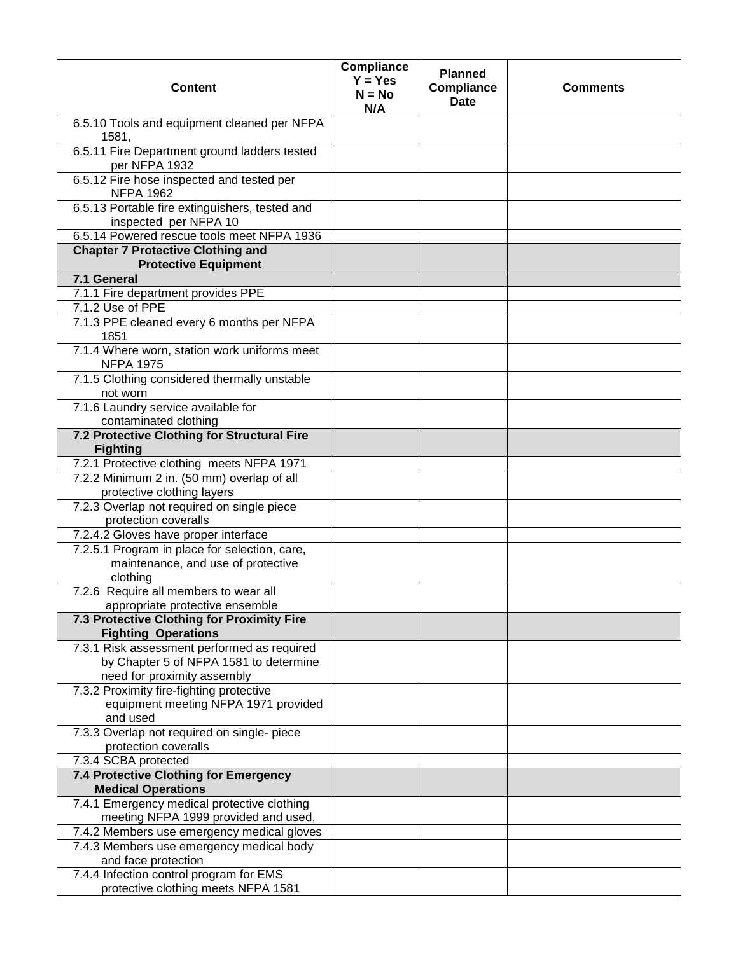| <b>Content</b>                                                                                  | <b>Compliance</b><br>$Y = Yes$<br>$N = No$<br>N/A | <b>Planned</b><br>Compliance<br><b>Date</b> | <b>Comments</b> |
|-------------------------------------------------------------------------------------------------|---------------------------------------------------|---------------------------------------------|-----------------|
| 6.5.10 Tools and equipment cleaned per NFPA<br>1581,                                            |                                                   |                                             |                 |
| 6.5.11 Fire Department ground ladders tested<br>per NFPA 1932                                   |                                                   |                                             |                 |
| 6.5.12 Fire hose inspected and tested per<br><b>NFPA 1962</b>                                   |                                                   |                                             |                 |
| 6.5.13 Portable fire extinguishers, tested and<br>inspected per NFPA 10                         |                                                   |                                             |                 |
| 6.5.14 Powered rescue tools meet NFPA 1936                                                      |                                                   |                                             |                 |
| <b>Chapter 7 Protective Clothing and</b><br><b>Protective Equipment</b>                         |                                                   |                                             |                 |
| 7.1 General                                                                                     |                                                   |                                             |                 |
| 7.1.1 Fire department provides PPE                                                              |                                                   |                                             |                 |
| 7.1.2 Use of PPE                                                                                |                                                   |                                             |                 |
| 7.1.3 PPE cleaned every 6 months per NFPA<br>1851                                               |                                                   |                                             |                 |
| 7.1.4 Where worn, station work uniforms meet<br><b>NFPA 1975</b>                                |                                                   |                                             |                 |
| 7.1.5 Clothing considered thermally unstable<br>not worn                                        |                                                   |                                             |                 |
| 7.1.6 Laundry service available for<br>contaminated clothing                                    |                                                   |                                             |                 |
| 7.2 Protective Clothing for Structural Fire                                                     |                                                   |                                             |                 |
| <b>Fighting</b>                                                                                 |                                                   |                                             |                 |
| 7.2.1 Protective clothing meets NFPA 1971                                                       |                                                   |                                             |                 |
| 7.2.2 Minimum 2 in. (50 mm) overlap of all<br>protective clothing layers                        |                                                   |                                             |                 |
| 7.2.3 Overlap not required on single piece<br>protection coveralls                              |                                                   |                                             |                 |
| 7.2.4.2 Gloves have proper interface                                                            |                                                   |                                             |                 |
| 7.2.5.1 Program in place for selection, care,<br>maintenance, and use of protective<br>clothing |                                                   |                                             |                 |
| 7.2.6 Require all members to wear all<br>appropriate protective ensemble                        |                                                   |                                             |                 |
| 7.3 Protective Clothing for Proximity Fire<br><b>Fighting Operations</b>                        |                                                   |                                             |                 |
| 7.3.1 Risk assessment performed as required                                                     |                                                   |                                             |                 |
| by Chapter 5 of NFPA 1581 to determine<br>need for proximity assembly                           |                                                   |                                             |                 |
| 7.3.2 Proximity fire-fighting protective                                                        |                                                   |                                             |                 |
| equipment meeting NFPA 1971 provided<br>and used                                                |                                                   |                                             |                 |
| 7.3.3 Overlap not required on single- piece<br>protection coveralls                             |                                                   |                                             |                 |
| 7.3.4 SCBA protected                                                                            |                                                   |                                             |                 |
| 7.4 Protective Clothing for Emergency<br><b>Medical Operations</b>                              |                                                   |                                             |                 |
| 7.4.1 Emergency medical protective clothing<br>meeting NFPA 1999 provided and used,             |                                                   |                                             |                 |
| 7.4.2 Members use emergency medical gloves                                                      |                                                   |                                             |                 |
| 7.4.3 Members use emergency medical body<br>and face protection                                 |                                                   |                                             |                 |
| 7.4.4 Infection control program for EMS                                                         |                                                   |                                             |                 |
| protective clothing meets NFPA 1581                                                             |                                                   |                                             |                 |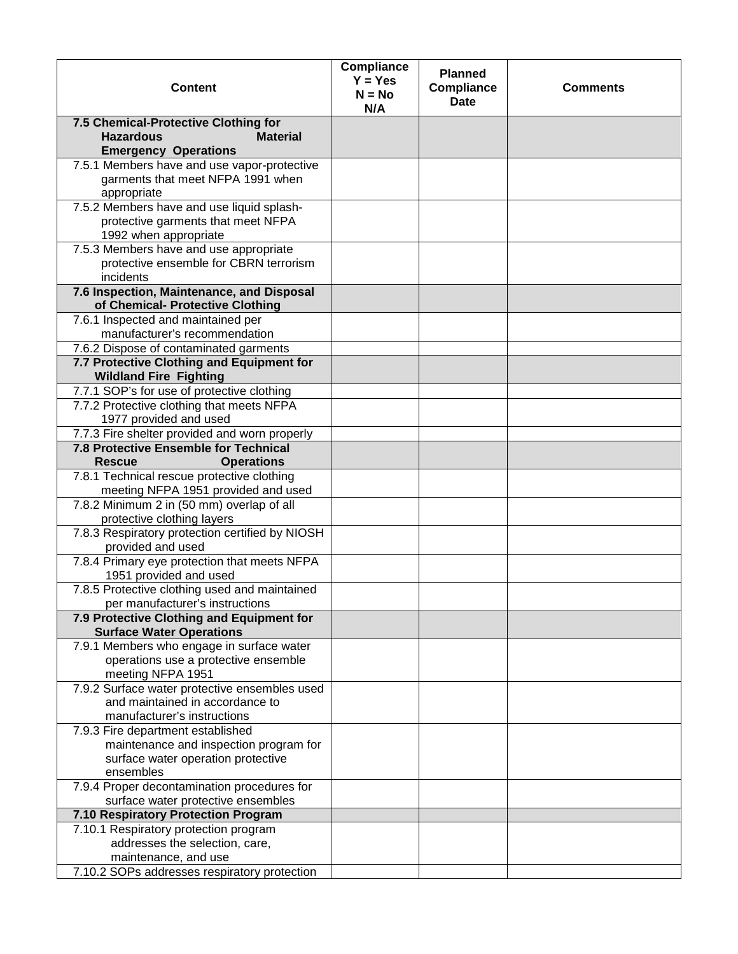| 7.5 Chemical-Protective Clothing for<br><b>Hazardous</b><br><b>Material</b><br><b>Emergency Operations</b><br>7.5.1 Members have and use vapor-protective<br>garments that meet NFPA 1991 when<br>appropriate<br>7.5.2 Members have and use liquid splash-<br>protective garments that meet NFPA<br>1992 when appropriate<br>7.5.3 Members have and use appropriate<br>protective ensemble for CBRN terrorism<br>incidents<br>7.6 Inspection, Maintenance, and Disposal<br>of Chemical- Protective Clothing | <b>Content</b>                     | Compliance<br>$Y = Yes$<br>$N = No$<br>N/A | <b>Planned</b><br><b>Compliance</b><br><b>Date</b> | <b>Comments</b> |
|-------------------------------------------------------------------------------------------------------------------------------------------------------------------------------------------------------------------------------------------------------------------------------------------------------------------------------------------------------------------------------------------------------------------------------------------------------------------------------------------------------------|------------------------------------|--------------------------------------------|----------------------------------------------------|-----------------|
|                                                                                                                                                                                                                                                                                                                                                                                                                                                                                                             |                                    |                                            |                                                    |                 |
|                                                                                                                                                                                                                                                                                                                                                                                                                                                                                                             |                                    |                                            |                                                    |                 |
|                                                                                                                                                                                                                                                                                                                                                                                                                                                                                                             |                                    |                                            |                                                    |                 |
|                                                                                                                                                                                                                                                                                                                                                                                                                                                                                                             |                                    |                                            |                                                    |                 |
|                                                                                                                                                                                                                                                                                                                                                                                                                                                                                                             |                                    |                                            |                                                    |                 |
|                                                                                                                                                                                                                                                                                                                                                                                                                                                                                                             |                                    |                                            |                                                    |                 |
|                                                                                                                                                                                                                                                                                                                                                                                                                                                                                                             |                                    |                                            |                                                    |                 |
|                                                                                                                                                                                                                                                                                                                                                                                                                                                                                                             |                                    |                                            |                                                    |                 |
|                                                                                                                                                                                                                                                                                                                                                                                                                                                                                                             |                                    |                                            |                                                    |                 |
|                                                                                                                                                                                                                                                                                                                                                                                                                                                                                                             |                                    |                                            |                                                    |                 |
|                                                                                                                                                                                                                                                                                                                                                                                                                                                                                                             |                                    |                                            |                                                    |                 |
|                                                                                                                                                                                                                                                                                                                                                                                                                                                                                                             |                                    |                                            |                                                    |                 |
|                                                                                                                                                                                                                                                                                                                                                                                                                                                                                                             |                                    |                                            |                                                    |                 |
|                                                                                                                                                                                                                                                                                                                                                                                                                                                                                                             |                                    |                                            |                                                    |                 |
|                                                                                                                                                                                                                                                                                                                                                                                                                                                                                                             | 7.6.1 Inspected and maintained per |                                            |                                                    |                 |
| manufacturer's recommendation                                                                                                                                                                                                                                                                                                                                                                                                                                                                               |                                    |                                            |                                                    |                 |
| 7.6.2 Dispose of contaminated garments                                                                                                                                                                                                                                                                                                                                                                                                                                                                      |                                    |                                            |                                                    |                 |
| 7.7 Protective Clothing and Equipment for                                                                                                                                                                                                                                                                                                                                                                                                                                                                   |                                    |                                            |                                                    |                 |
|                                                                                                                                                                                                                                                                                                                                                                                                                                                                                                             |                                    |                                            |                                                    |                 |
| <b>Wildland Fire Fighting</b>                                                                                                                                                                                                                                                                                                                                                                                                                                                                               |                                    |                                            |                                                    |                 |
| 7.7.1 SOP's for use of protective clothing                                                                                                                                                                                                                                                                                                                                                                                                                                                                  |                                    |                                            |                                                    |                 |
| 7.7.2 Protective clothing that meets NFPA                                                                                                                                                                                                                                                                                                                                                                                                                                                                   |                                    |                                            |                                                    |                 |
| 1977 provided and used                                                                                                                                                                                                                                                                                                                                                                                                                                                                                      |                                    |                                            |                                                    |                 |
| 7.7.3 Fire shelter provided and worn properly                                                                                                                                                                                                                                                                                                                                                                                                                                                               |                                    |                                            |                                                    |                 |
| 7.8 Protective Ensemble for Technical                                                                                                                                                                                                                                                                                                                                                                                                                                                                       |                                    |                                            |                                                    |                 |
| <b>Rescue</b><br><b>Operations</b>                                                                                                                                                                                                                                                                                                                                                                                                                                                                          |                                    |                                            |                                                    |                 |
| 7.8.1 Technical rescue protective clothing                                                                                                                                                                                                                                                                                                                                                                                                                                                                  |                                    |                                            |                                                    |                 |
| meeting NFPA 1951 provided and used                                                                                                                                                                                                                                                                                                                                                                                                                                                                         |                                    |                                            |                                                    |                 |
| 7.8.2 Minimum 2 in (50 mm) overlap of all                                                                                                                                                                                                                                                                                                                                                                                                                                                                   |                                    |                                            |                                                    |                 |
| protective clothing layers                                                                                                                                                                                                                                                                                                                                                                                                                                                                                  |                                    |                                            |                                                    |                 |
| 7.8.3 Respiratory protection certified by NIOSH                                                                                                                                                                                                                                                                                                                                                                                                                                                             |                                    |                                            |                                                    |                 |
| provided and used                                                                                                                                                                                                                                                                                                                                                                                                                                                                                           |                                    |                                            |                                                    |                 |
| 7.8.4 Primary eye protection that meets NFPA                                                                                                                                                                                                                                                                                                                                                                                                                                                                |                                    |                                            |                                                    |                 |
| 1951 provided and used                                                                                                                                                                                                                                                                                                                                                                                                                                                                                      |                                    |                                            |                                                    |                 |
| 7.8.5 Protective clothing used and maintained                                                                                                                                                                                                                                                                                                                                                                                                                                                               |                                    |                                            |                                                    |                 |
| per manufacturer's instructions                                                                                                                                                                                                                                                                                                                                                                                                                                                                             |                                    |                                            |                                                    |                 |
| 7.9 Protective Clothing and Equipment for                                                                                                                                                                                                                                                                                                                                                                                                                                                                   |                                    |                                            |                                                    |                 |
| <b>Surface Water Operations</b>                                                                                                                                                                                                                                                                                                                                                                                                                                                                             |                                    |                                            |                                                    |                 |
| 7.9.1 Members who engage in surface water                                                                                                                                                                                                                                                                                                                                                                                                                                                                   |                                    |                                            |                                                    |                 |
| operations use a protective ensemble                                                                                                                                                                                                                                                                                                                                                                                                                                                                        |                                    |                                            |                                                    |                 |
| meeting NFPA 1951                                                                                                                                                                                                                                                                                                                                                                                                                                                                                           |                                    |                                            |                                                    |                 |
| 7.9.2 Surface water protective ensembles used                                                                                                                                                                                                                                                                                                                                                                                                                                                               |                                    |                                            |                                                    |                 |
| and maintained in accordance to                                                                                                                                                                                                                                                                                                                                                                                                                                                                             |                                    |                                            |                                                    |                 |
| manufacturer's instructions                                                                                                                                                                                                                                                                                                                                                                                                                                                                                 |                                    |                                            |                                                    |                 |
| 7.9.3 Fire department established                                                                                                                                                                                                                                                                                                                                                                                                                                                                           |                                    |                                            |                                                    |                 |
| maintenance and inspection program for                                                                                                                                                                                                                                                                                                                                                                                                                                                                      |                                    |                                            |                                                    |                 |
| surface water operation protective                                                                                                                                                                                                                                                                                                                                                                                                                                                                          |                                    |                                            |                                                    |                 |
| ensembles                                                                                                                                                                                                                                                                                                                                                                                                                                                                                                   |                                    |                                            |                                                    |                 |
| 7.9.4 Proper decontamination procedures for                                                                                                                                                                                                                                                                                                                                                                                                                                                                 |                                    |                                            |                                                    |                 |
| surface water protective ensembles                                                                                                                                                                                                                                                                                                                                                                                                                                                                          |                                    |                                            |                                                    |                 |
| 7.10 Respiratory Protection Program                                                                                                                                                                                                                                                                                                                                                                                                                                                                         |                                    |                                            |                                                    |                 |
| 7.10.1 Respiratory protection program                                                                                                                                                                                                                                                                                                                                                                                                                                                                       |                                    |                                            |                                                    |                 |
| addresses the selection, care,                                                                                                                                                                                                                                                                                                                                                                                                                                                                              |                                    |                                            |                                                    |                 |
| maintenance, and use                                                                                                                                                                                                                                                                                                                                                                                                                                                                                        |                                    |                                            |                                                    |                 |
| 7.10.2 SOPs addresses respiratory protection                                                                                                                                                                                                                                                                                                                                                                                                                                                                |                                    |                                            |                                                    |                 |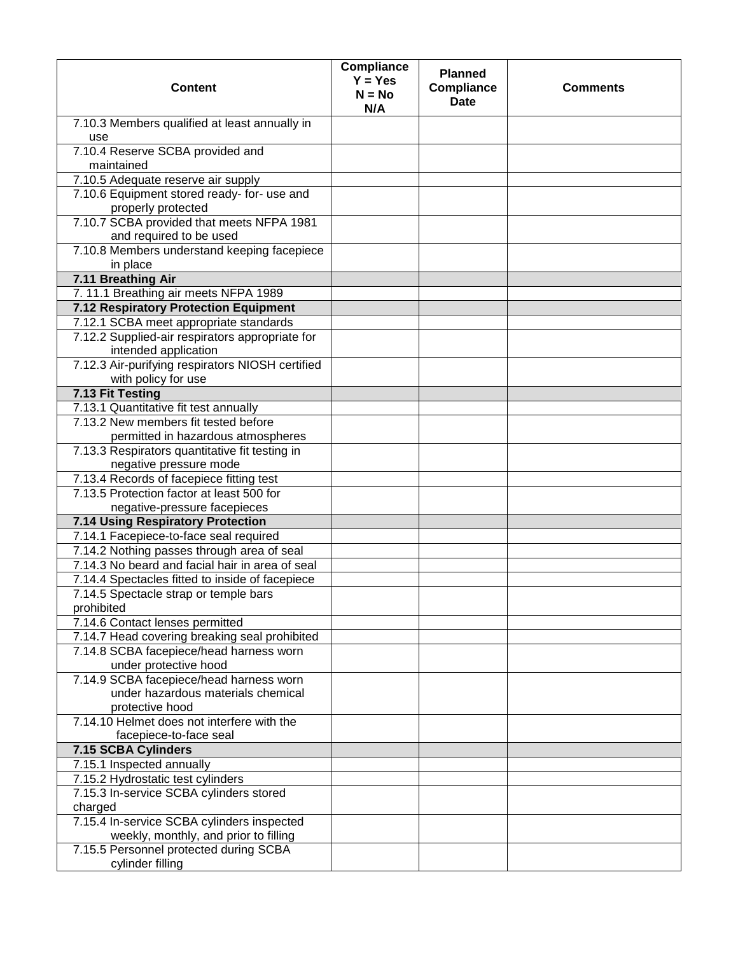| <b>Content</b>                                                                                   | Compliance<br>$Y = Yes$<br>$N = No$<br>N/A | <b>Planned</b><br>Compliance<br><b>Date</b> | <b>Comments</b> |
|--------------------------------------------------------------------------------------------------|--------------------------------------------|---------------------------------------------|-----------------|
| 7.10.3 Members qualified at least annually in<br>use                                             |                                            |                                             |                 |
| 7.10.4 Reserve SCBA provided and<br>maintained                                                   |                                            |                                             |                 |
| 7.10.5 Adequate reserve air supply                                                               |                                            |                                             |                 |
| 7.10.6 Equipment stored ready- for- use and<br>properly protected                                |                                            |                                             |                 |
| 7.10.7 SCBA provided that meets NFPA 1981<br>and required to be used                             |                                            |                                             |                 |
| 7.10.8 Members understand keeping facepiece<br>in place                                          |                                            |                                             |                 |
| 7.11 Breathing Air                                                                               |                                            |                                             |                 |
| 7. 11.1 Breathing air meets NFPA 1989                                                            |                                            |                                             |                 |
| 7.12 Respiratory Protection Equipment                                                            |                                            |                                             |                 |
| 7.12.1 SCBA meet appropriate standards                                                           |                                            |                                             |                 |
| 7.12.2 Supplied-air respirators appropriate for<br>intended application                          |                                            |                                             |                 |
| 7.12.3 Air-purifying respirators NIOSH certified<br>with policy for use                          |                                            |                                             |                 |
| 7.13 Fit Testing                                                                                 |                                            |                                             |                 |
| 7.13.1 Quantitative fit test annually                                                            |                                            |                                             |                 |
| 7.13.2 New members fit tested before<br>permitted in hazardous atmospheres                       |                                            |                                             |                 |
| 7.13.3 Respirators quantitative fit testing in<br>negative pressure mode                         |                                            |                                             |                 |
| 7.13.4 Records of facepiece fitting test                                                         |                                            |                                             |                 |
| 7.13.5 Protection factor at least 500 for                                                        |                                            |                                             |                 |
| negative-pressure facepieces                                                                     |                                            |                                             |                 |
| 7.14 Using Respiratory Protection                                                                |                                            |                                             |                 |
| 7.14.1 Facepiece-to-face seal required                                                           |                                            |                                             |                 |
| 7.14.2 Nothing passes through area of seal                                                       |                                            |                                             |                 |
| 7.14.3 No beard and facial hair in area of seal                                                  |                                            |                                             |                 |
| 7.14.4 Spectacles fitted to inside of facepiece                                                  |                                            |                                             |                 |
| 7.14.5 Spectacle strap or temple bars<br>prohibited                                              |                                            |                                             |                 |
| 7.14.6 Contact lenses permitted                                                                  |                                            |                                             |                 |
| 7.14.7 Head covering breaking seal prohibited                                                    |                                            |                                             |                 |
| 7.14.8 SCBA facepiece/head harness worn<br>under protective hood                                 |                                            |                                             |                 |
| 7.14.9 SCBA facepiece/head harness worn<br>under hazardous materials chemical<br>protective hood |                                            |                                             |                 |
| 7.14.10 Helmet does not interfere with the<br>facepiece-to-face seal                             |                                            |                                             |                 |
| 7.15 SCBA Cylinders                                                                              |                                            |                                             |                 |
| 7.15.1 Inspected annually                                                                        |                                            |                                             |                 |
| 7.15.2 Hydrostatic test cylinders                                                                |                                            |                                             |                 |
| 7.15.3 In-service SCBA cylinders stored<br>charged                                               |                                            |                                             |                 |
| 7.15.4 In-service SCBA cylinders inspected<br>weekly, monthly, and prior to filling              |                                            |                                             |                 |
| 7.15.5 Personnel protected during SCBA<br>cylinder filling                                       |                                            |                                             |                 |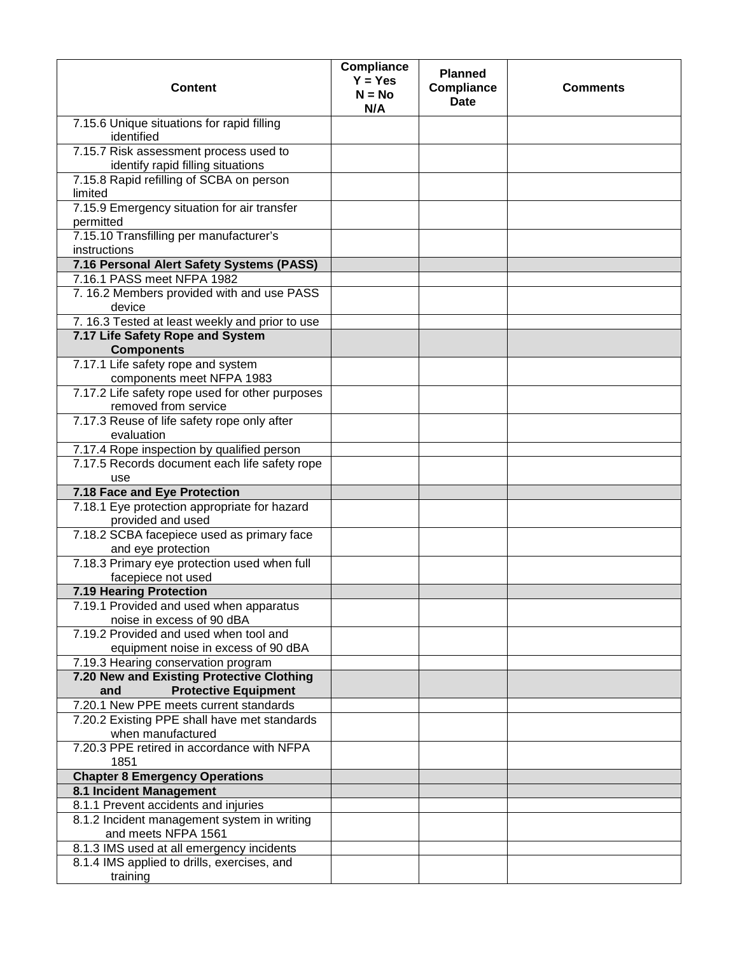| <b>Content</b>                                                                  | Compliance<br>$Y = Yes$<br>$N = No$<br>N/A | <b>Planned</b><br>Compliance<br><b>Date</b> | <b>Comments</b> |
|---------------------------------------------------------------------------------|--------------------------------------------|---------------------------------------------|-----------------|
| 7.15.6 Unique situations for rapid filling<br>identified                        |                                            |                                             |                 |
| 7.15.7 Risk assessment process used to<br>identify rapid filling situations     |                                            |                                             |                 |
| 7.15.8 Rapid refilling of SCBA on person<br>limited                             |                                            |                                             |                 |
| 7.15.9 Emergency situation for air transfer<br>permitted                        |                                            |                                             |                 |
| 7.15.10 Transfilling per manufacturer's<br>instructions                         |                                            |                                             |                 |
| 7.16 Personal Alert Safety Systems (PASS)                                       |                                            |                                             |                 |
| 7.16.1 PASS meet NFPA 1982                                                      |                                            |                                             |                 |
| 7. 16.2 Members provided with and use PASS<br>device                            |                                            |                                             |                 |
| 7. 16.3 Tested at least weekly and prior to use                                 |                                            |                                             |                 |
| 7.17 Life Safety Rope and System<br><b>Components</b>                           |                                            |                                             |                 |
| 7.17.1 Life safety rope and system<br>components meet NFPA 1983                 |                                            |                                             |                 |
| 7.17.2 Life safety rope used for other purposes<br>removed from service         |                                            |                                             |                 |
| 7.17.3 Reuse of life safety rope only after<br>evaluation                       |                                            |                                             |                 |
| 7.17.4 Rope inspection by qualified person                                      |                                            |                                             |                 |
| 7.17.5 Records document each life safety rope<br>use                            |                                            |                                             |                 |
| 7.18 Face and Eye Protection                                                    |                                            |                                             |                 |
| 7.18.1 Eye protection appropriate for hazard<br>provided and used               |                                            |                                             |                 |
| 7.18.2 SCBA facepiece used as primary face<br>and eye protection                |                                            |                                             |                 |
| 7.18.3 Primary eye protection used when full<br>facepiece not used              |                                            |                                             |                 |
| <b>7.19 Hearing Protection</b>                                                  |                                            |                                             |                 |
| 7.19.1 Provided and used when apparatus<br>noise in excess of 90 dBA            |                                            |                                             |                 |
| 7.19.2 Provided and used when tool and<br>equipment noise in excess of 90 dBA   |                                            |                                             |                 |
| 7.19.3 Hearing conservation program                                             |                                            |                                             |                 |
| 7.20 New and Existing Protective Clothing<br><b>Protective Equipment</b><br>and |                                            |                                             |                 |
| 7.20.1 New PPE meets current standards                                          |                                            |                                             |                 |
| 7.20.2 Existing PPE shall have met standards<br>when manufactured               |                                            |                                             |                 |
| 7.20.3 PPE retired in accordance with NFPA<br>1851                              |                                            |                                             |                 |
| <b>Chapter 8 Emergency Operations</b>                                           |                                            |                                             |                 |
| 8.1 Incident Management                                                         |                                            |                                             |                 |
| 8.1.1 Prevent accidents and injuries                                            |                                            |                                             |                 |
| 8.1.2 Incident management system in writing<br>and meets NFPA 1561              |                                            |                                             |                 |
| 8.1.3 IMS used at all emergency incidents                                       |                                            |                                             |                 |
| 8.1.4 IMS applied to drills, exercises, and<br>training                         |                                            |                                             |                 |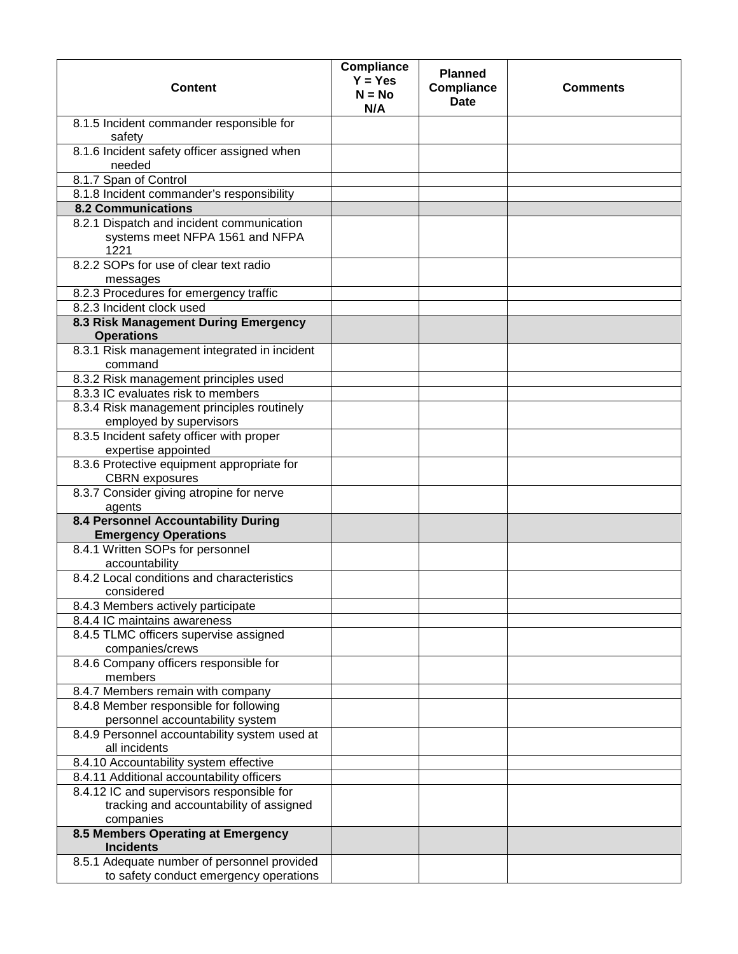| <b>Content</b>                                                                                    | <b>Compliance</b><br>$Y = Yes$<br>$N = No$<br>N/A | <b>Planned</b><br><b>Compliance</b><br><b>Date</b> | <b>Comments</b> |
|---------------------------------------------------------------------------------------------------|---------------------------------------------------|----------------------------------------------------|-----------------|
| 8.1.5 Incident commander responsible for<br>safety                                                |                                                   |                                                    |                 |
| 8.1.6 Incident safety officer assigned when<br>needed                                             |                                                   |                                                    |                 |
| 8.1.7 Span of Control                                                                             |                                                   |                                                    |                 |
| 8.1.8 Incident commander's responsibility                                                         |                                                   |                                                    |                 |
| <b>8.2 Communications</b>                                                                         |                                                   |                                                    |                 |
| 8.2.1 Dispatch and incident communication<br>systems meet NFPA 1561 and NFPA<br>1221              |                                                   |                                                    |                 |
| 8.2.2 SOPs for use of clear text radio<br>messages                                                |                                                   |                                                    |                 |
| 8.2.3 Procedures for emergency traffic                                                            |                                                   |                                                    |                 |
| 8.2.3 Incident clock used                                                                         |                                                   |                                                    |                 |
| 8.3 Risk Management During Emergency                                                              |                                                   |                                                    |                 |
| <b>Operations</b>                                                                                 |                                                   |                                                    |                 |
| 8.3.1 Risk management integrated in incident<br>command                                           |                                                   |                                                    |                 |
| 8.3.2 Risk management principles used                                                             |                                                   |                                                    |                 |
| 8.3.3 IC evaluates risk to members                                                                |                                                   |                                                    |                 |
| 8.3.4 Risk management principles routinely<br>employed by supervisors                             |                                                   |                                                    |                 |
| 8.3.5 Incident safety officer with proper<br>expertise appointed                                  |                                                   |                                                    |                 |
| 8.3.6 Protective equipment appropriate for<br><b>CBRN</b> exposures                               |                                                   |                                                    |                 |
| 8.3.7 Consider giving atropine for nerve<br>agents                                                |                                                   |                                                    |                 |
| 8.4 Personnel Accountability During<br><b>Emergency Operations</b>                                |                                                   |                                                    |                 |
| 8.4.1 Written SOPs for personnel<br>accountability                                                |                                                   |                                                    |                 |
| 8.4.2 Local conditions and characteristics<br>considered                                          |                                                   |                                                    |                 |
| 8.4.3 Members actively participate                                                                |                                                   |                                                    |                 |
| 8.4.4 IC maintains awareness                                                                      |                                                   |                                                    |                 |
| 8.4.5 TLMC officers supervise assigned<br>companies/crews                                         |                                                   |                                                    |                 |
| 8.4.6 Company officers responsible for<br>members                                                 |                                                   |                                                    |                 |
| 8.4.7 Members remain with company                                                                 |                                                   |                                                    |                 |
| 8.4.8 Member responsible for following                                                            |                                                   |                                                    |                 |
| personnel accountability system                                                                   |                                                   |                                                    |                 |
| 8.4.9 Personnel accountability system used at<br>all incidents                                    |                                                   |                                                    |                 |
| 8.4.10 Accountability system effective                                                            |                                                   |                                                    |                 |
| 8.4.11 Additional accountability officers                                                         |                                                   |                                                    |                 |
| 8.4.12 IC and supervisors responsible for<br>tracking and accountability of assigned<br>companies |                                                   |                                                    |                 |
| 8.5 Members Operating at Emergency<br><b>Incidents</b>                                            |                                                   |                                                    |                 |
| 8.5.1 Adequate number of personnel provided                                                       |                                                   |                                                    |                 |
| to safety conduct emergency operations                                                            |                                                   |                                                    |                 |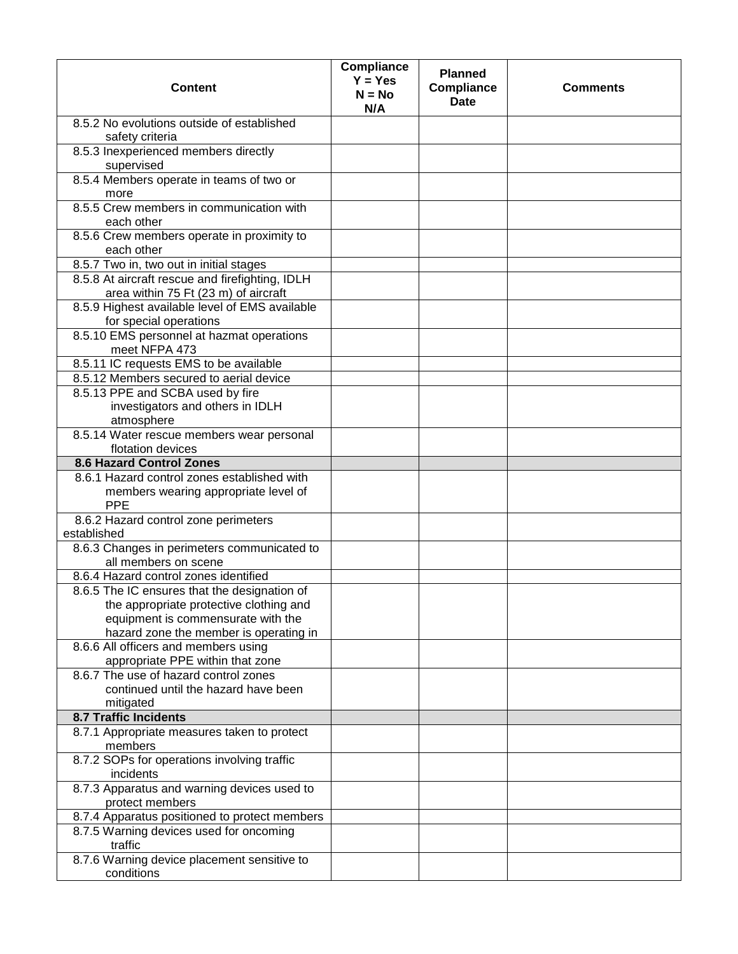| <b>Content</b>                                                                          | <b>Compliance</b><br>$Y = Yes$<br>$N = No$<br>N/A | <b>Planned</b><br><b>Compliance</b><br><b>Date</b> | <b>Comments</b> |
|-----------------------------------------------------------------------------------------|---------------------------------------------------|----------------------------------------------------|-----------------|
| 8.5.2 No evolutions outside of established<br>safety criteria                           |                                                   |                                                    |                 |
| 8.5.3 Inexperienced members directly<br>supervised                                      |                                                   |                                                    |                 |
| 8.5.4 Members operate in teams of two or<br>more                                        |                                                   |                                                    |                 |
| 8.5.5 Crew members in communication with<br>each other                                  |                                                   |                                                    |                 |
| 8.5.6 Crew members operate in proximity to<br>each other                                |                                                   |                                                    |                 |
| 8.5.7 Two in, two out in initial stages                                                 |                                                   |                                                    |                 |
| 8.5.8 At aircraft rescue and firefighting, IDLH<br>area within 75 Ft (23 m) of aircraft |                                                   |                                                    |                 |
| 8.5.9 Highest available level of EMS available<br>for special operations                |                                                   |                                                    |                 |
| 8.5.10 EMS personnel at hazmat operations<br>meet NFPA 473                              |                                                   |                                                    |                 |
| 8.5.11 IC requests EMS to be available                                                  |                                                   |                                                    |                 |
| 8.5.12 Members secured to aerial device                                                 |                                                   |                                                    |                 |
| 8.5.13 PPE and SCBA used by fire<br>investigators and others in IDLH<br>atmosphere      |                                                   |                                                    |                 |
| 8.5.14 Water rescue members wear personal                                               |                                                   |                                                    |                 |
| flotation devices                                                                       |                                                   |                                                    |                 |
| <b>8.6 Hazard Control Zones</b>                                                         |                                                   |                                                    |                 |
| 8.6.1 Hazard control zones established with<br>members wearing appropriate level of     |                                                   |                                                    |                 |
| <b>PPE</b><br>8.6.2 Hazard control zone perimeters                                      |                                                   |                                                    |                 |
| established                                                                             |                                                   |                                                    |                 |
| 8.6.3 Changes in perimeters communicated to<br>all members on scene                     |                                                   |                                                    |                 |
| 8.6.4 Hazard control zones identified                                                   |                                                   |                                                    |                 |
| 8.6.5 The IC ensures that the designation of                                            |                                                   |                                                    |                 |
| the appropriate protective clothing and<br>equipment is commensurate with the           |                                                   |                                                    |                 |
| hazard zone the member is operating in                                                  |                                                   |                                                    |                 |
| 8.6.6 All officers and members using<br>appropriate PPE within that zone                |                                                   |                                                    |                 |
| 8.6.7 The use of hazard control zones                                                   |                                                   |                                                    |                 |
| continued until the hazard have been                                                    |                                                   |                                                    |                 |
| mitigated                                                                               |                                                   |                                                    |                 |
| <b>8.7 Traffic Incidents</b>                                                            |                                                   |                                                    |                 |
| 8.7.1 Appropriate measures taken to protect<br>members                                  |                                                   |                                                    |                 |
| 8.7.2 SOPs for operations involving traffic<br>incidents                                |                                                   |                                                    |                 |
| 8.7.3 Apparatus and warning devices used to<br>protect members                          |                                                   |                                                    |                 |
| 8.7.4 Apparatus positioned to protect members                                           |                                                   |                                                    |                 |
| 8.7.5 Warning devices used for oncoming<br>traffic                                      |                                                   |                                                    |                 |
| 8.7.6 Warning device placement sensitive to<br>conditions                               |                                                   |                                                    |                 |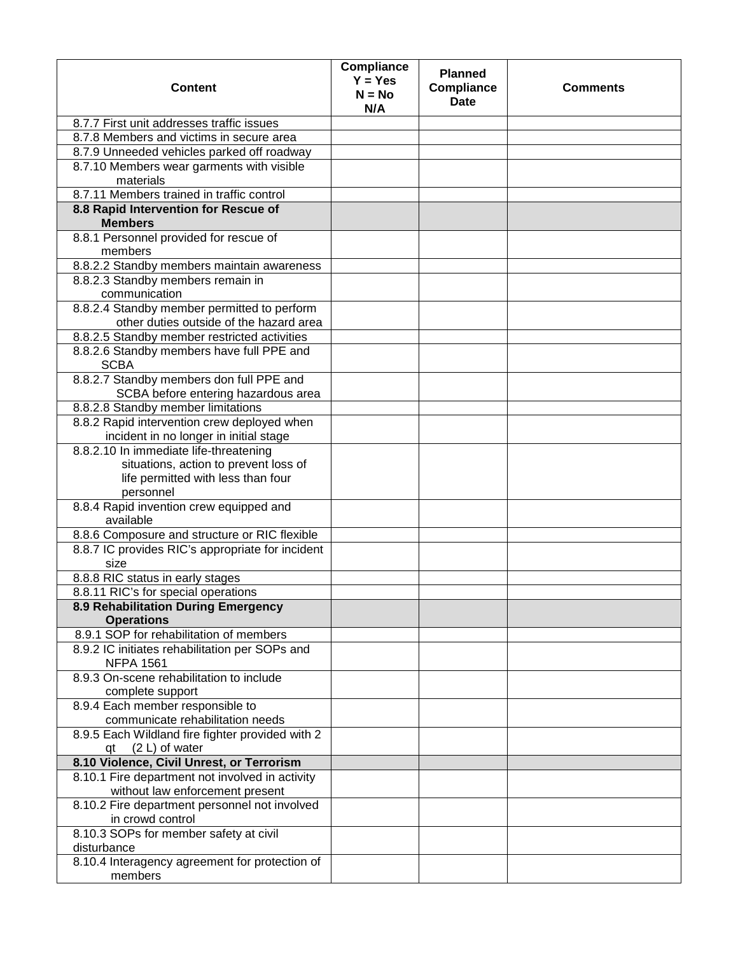| <b>Content</b>                                                                         | <b>Compliance</b><br>$Y = Yes$<br>$N = No$<br>N/A | <b>Planned</b><br><b>Compliance</b><br><b>Date</b> | <b>Comments</b> |
|----------------------------------------------------------------------------------------|---------------------------------------------------|----------------------------------------------------|-----------------|
| 8.7.7 First unit addresses traffic issues                                              |                                                   |                                                    |                 |
| 8.7.8 Members and victims in secure area                                               |                                                   |                                                    |                 |
| 8.7.9 Unneeded vehicles parked off roadway                                             |                                                   |                                                    |                 |
| 8.7.10 Members wear garments with visible                                              |                                                   |                                                    |                 |
| materials                                                                              |                                                   |                                                    |                 |
| 8.7.11 Members trained in traffic control                                              |                                                   |                                                    |                 |
| 8.8 Rapid Intervention for Rescue of<br><b>Members</b>                                 |                                                   |                                                    |                 |
| 8.8.1 Personnel provided for rescue of<br>members                                      |                                                   |                                                    |                 |
| 8.8.2.2 Standby members maintain awareness                                             |                                                   |                                                    |                 |
| 8.8.2.3 Standby members remain in<br>communication                                     |                                                   |                                                    |                 |
| 8.8.2.4 Standby member permitted to perform<br>other duties outside of the hazard area |                                                   |                                                    |                 |
| 8.8.2.5 Standby member restricted activities                                           |                                                   |                                                    |                 |
| 8.8.2.6 Standby members have full PPE and<br><b>SCBA</b>                               |                                                   |                                                    |                 |
| 8.8.2.7 Standby members don full PPE and<br>SCBA before entering hazardous area        |                                                   |                                                    |                 |
| 8.8.2.8 Standby member limitations                                                     |                                                   |                                                    |                 |
| 8.8.2 Rapid intervention crew deployed when                                            |                                                   |                                                    |                 |
| incident in no longer in initial stage                                                 |                                                   |                                                    |                 |
| 8.8.2.10 In immediate life-threatening                                                 |                                                   |                                                    |                 |
| situations, action to prevent loss of                                                  |                                                   |                                                    |                 |
| life permitted with less than four                                                     |                                                   |                                                    |                 |
| personnel                                                                              |                                                   |                                                    |                 |
| 8.8.4 Rapid invention crew equipped and<br>available                                   |                                                   |                                                    |                 |
| 8.8.6 Composure and structure or RIC flexible                                          |                                                   |                                                    |                 |
| 8.8.7 IC provides RIC's appropriate for incident                                       |                                                   |                                                    |                 |
| size                                                                                   |                                                   |                                                    |                 |
| 8.8.8 RIC status in early stages                                                       |                                                   |                                                    |                 |
| 8.8.11 RIC's for special operations                                                    |                                                   |                                                    |                 |
| 8.9 Rehabilitation During Emergency<br><b>Operations</b>                               |                                                   |                                                    |                 |
| 8.9.1 SOP for rehabilitation of members                                                |                                                   |                                                    |                 |
| 8.9.2 IC initiates rehabilitation per SOPs and<br><b>NFPA 1561</b>                     |                                                   |                                                    |                 |
| 8.9.3 On-scene rehabilitation to include<br>complete support                           |                                                   |                                                    |                 |
| 8.9.4 Each member responsible to                                                       |                                                   |                                                    |                 |
| communicate rehabilitation needs                                                       |                                                   |                                                    |                 |
| 8.9.5 Each Wildland fire fighter provided with 2<br>$qt$ $(2 L)$ of water              |                                                   |                                                    |                 |
| 8.10 Violence, Civil Unrest, or Terrorism                                              |                                                   |                                                    |                 |
| 8.10.1 Fire department not involved in activity                                        |                                                   |                                                    |                 |
| without law enforcement present                                                        |                                                   |                                                    |                 |
| 8.10.2 Fire department personnel not involved<br>in crowd control                      |                                                   |                                                    |                 |
| 8.10.3 SOPs for member safety at civil<br>disturbance                                  |                                                   |                                                    |                 |
| 8.10.4 Interagency agreement for protection of<br>members                              |                                                   |                                                    |                 |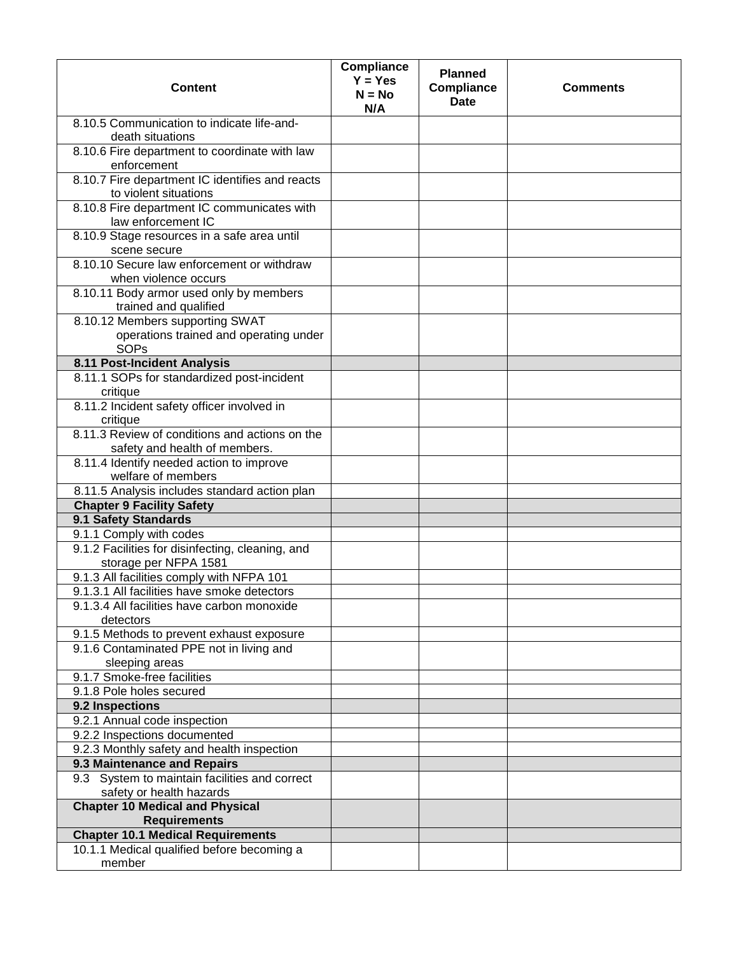| <b>Content</b>                                                                             | Compliance<br>$Y = Yes$<br>$N = No$<br>N/A | <b>Planned</b><br><b>Compliance</b><br><b>Date</b> | <b>Comments</b> |
|--------------------------------------------------------------------------------------------|--------------------------------------------|----------------------------------------------------|-----------------|
| 8.10.5 Communication to indicate life-and-<br>death situations                             |                                            |                                                    |                 |
| 8.10.6 Fire department to coordinate with law<br>enforcement                               |                                            |                                                    |                 |
| 8.10.7 Fire department IC identifies and reacts<br>to violent situations                   |                                            |                                                    |                 |
| 8.10.8 Fire department IC communicates with<br>law enforcement IC                          |                                            |                                                    |                 |
| 8.10.9 Stage resources in a safe area until<br>scene secure                                |                                            |                                                    |                 |
| 8.10.10 Secure law enforcement or withdraw<br>when violence occurs                         |                                            |                                                    |                 |
| 8.10.11 Body armor used only by members<br>trained and qualified                           |                                            |                                                    |                 |
| 8.10.12 Members supporting SWAT<br>operations trained and operating under<br><b>SOPs</b>   |                                            |                                                    |                 |
| 8.11 Post-Incident Analysis                                                                |                                            |                                                    |                 |
| 8.11.1 SOPs for standardized post-incident<br>critique                                     |                                            |                                                    |                 |
| 8.11.2 Incident safety officer involved in<br>critique                                     |                                            |                                                    |                 |
| 8.11.3 Review of conditions and actions on the<br>safety and health of members.            |                                            |                                                    |                 |
| 8.11.4 Identify needed action to improve<br>welfare of members                             |                                            |                                                    |                 |
| 8.11.5 Analysis includes standard action plan                                              |                                            |                                                    |                 |
| <b>Chapter 9 Facility Safety</b>                                                           |                                            |                                                    |                 |
| 9.1 Safety Standards                                                                       |                                            |                                                    |                 |
| 9.1.1 Comply with codes                                                                    |                                            |                                                    |                 |
| 9.1.2 Facilities for disinfecting, cleaning, and<br>storage per NFPA 1581                  |                                            |                                                    |                 |
| 9.1.3 All facilities comply with NFPA 101                                                  |                                            |                                                    |                 |
| 9.1.3.1 All facilities have smoke detectors<br>9.1.3.4 All facilities have carbon monoxide |                                            |                                                    |                 |
| detectors                                                                                  |                                            |                                                    |                 |
| 9.1.5 Methods to prevent exhaust exposure<br>9.1.6 Contaminated PPE not in living and      |                                            |                                                    |                 |
| sleeping areas<br>9.1.7 Smoke-free facilities                                              |                                            |                                                    |                 |
| 9.1.8 Pole holes secured                                                                   |                                            |                                                    |                 |
|                                                                                            |                                            |                                                    |                 |
| 9.2 Inspections<br>9.2.1 Annual code inspection                                            |                                            |                                                    |                 |
| 9.2.2 Inspections documented                                                               |                                            |                                                    |                 |
| 9.2.3 Monthly safety and health inspection                                                 |                                            |                                                    |                 |
| 9.3 Maintenance and Repairs                                                                |                                            |                                                    |                 |
| 9.3 System to maintain facilities and correct<br>safety or health hazards                  |                                            |                                                    |                 |
| <b>Chapter 10 Medical and Physical</b><br><b>Requirements</b>                              |                                            |                                                    |                 |
| <b>Chapter 10.1 Medical Requirements</b>                                                   |                                            |                                                    |                 |
| 10.1.1 Medical qualified before becoming a                                                 |                                            |                                                    |                 |
| member                                                                                     |                                            |                                                    |                 |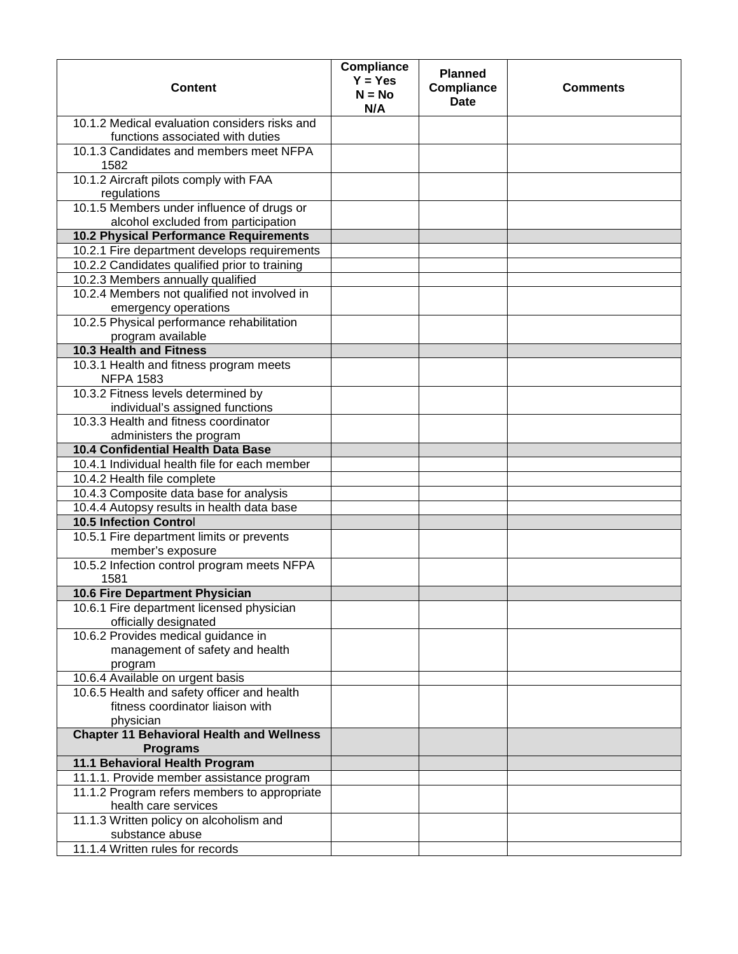| <b>Content</b>                                                                    | <b>Compliance</b><br>$Y = Yes$<br>$N = No$<br>N/A | <b>Planned</b><br>Compliance<br><b>Date</b> | <b>Comments</b> |
|-----------------------------------------------------------------------------------|---------------------------------------------------|---------------------------------------------|-----------------|
| 10.1.2 Medical evaluation considers risks and<br>functions associated with duties |                                                   |                                             |                 |
| 10.1.3 Candidates and members meet NFPA<br>1582                                   |                                                   |                                             |                 |
| 10.1.2 Aircraft pilots comply with FAA<br>regulations                             |                                                   |                                             |                 |
| 10.1.5 Members under influence of drugs or<br>alcohol excluded from participation |                                                   |                                             |                 |
| 10.2 Physical Performance Requirements                                            |                                                   |                                             |                 |
| 10.2.1 Fire department develops requirements                                      |                                                   |                                             |                 |
| 10.2.2 Candidates qualified prior to training                                     |                                                   |                                             |                 |
| 10.2.3 Members annually qualified                                                 |                                                   |                                             |                 |
| 10.2.4 Members not qualified not involved in                                      |                                                   |                                             |                 |
| emergency operations                                                              |                                                   |                                             |                 |
| 10.2.5 Physical performance rehabilitation                                        |                                                   |                                             |                 |
| program available                                                                 |                                                   |                                             |                 |
| 10.3 Health and Fitness                                                           |                                                   |                                             |                 |
| 10.3.1 Health and fitness program meets<br><b>NFPA 1583</b>                       |                                                   |                                             |                 |
| 10.3.2 Fitness levels determined by<br>individual's assigned functions            |                                                   |                                             |                 |
| 10.3.3 Health and fitness coordinator<br>administers the program                  |                                                   |                                             |                 |
| 10.4 Confidential Health Data Base                                                |                                                   |                                             |                 |
| 10.4.1 Individual health file for each member                                     |                                                   |                                             |                 |
| 10.4.2 Health file complete                                                       |                                                   |                                             |                 |
| 10.4.3 Composite data base for analysis                                           |                                                   |                                             |                 |
| 10.4.4 Autopsy results in health data base                                        |                                                   |                                             |                 |
| 10.5 Infection Control                                                            |                                                   |                                             |                 |
| 10.5.1 Fire department limits or prevents                                         |                                                   |                                             |                 |
| member's exposure                                                                 |                                                   |                                             |                 |
| 10.5.2 Infection control program meets NFPA<br>1581                               |                                                   |                                             |                 |
| 10.6 Fire Department Physician                                                    |                                                   |                                             |                 |
| 10.6.1 Fire department licensed physician                                         |                                                   |                                             |                 |
| officially designated                                                             |                                                   |                                             |                 |
| 10.6.2 Provides medical guidance in                                               |                                                   |                                             |                 |
| management of safety and health                                                   |                                                   |                                             |                 |
| program                                                                           |                                                   |                                             |                 |
| 10.6.4 Available on urgent basis                                                  |                                                   |                                             |                 |
| 10.6.5 Health and safety officer and health                                       |                                                   |                                             |                 |
| fitness coordinator liaison with                                                  |                                                   |                                             |                 |
| physician                                                                         |                                                   |                                             |                 |
| <b>Chapter 11 Behavioral Health and Wellness</b><br><b>Programs</b>               |                                                   |                                             |                 |
| 11.1 Behavioral Health Program                                                    |                                                   |                                             |                 |
| 11.1.1. Provide member assistance program                                         |                                                   |                                             |                 |
| 11.1.2 Program refers members to appropriate<br>health care services              |                                                   |                                             |                 |
| 11.1.3 Written policy on alcoholism and                                           |                                                   |                                             |                 |
| substance abuse                                                                   |                                                   |                                             |                 |
| 11.1.4 Written rules for records                                                  |                                                   |                                             |                 |